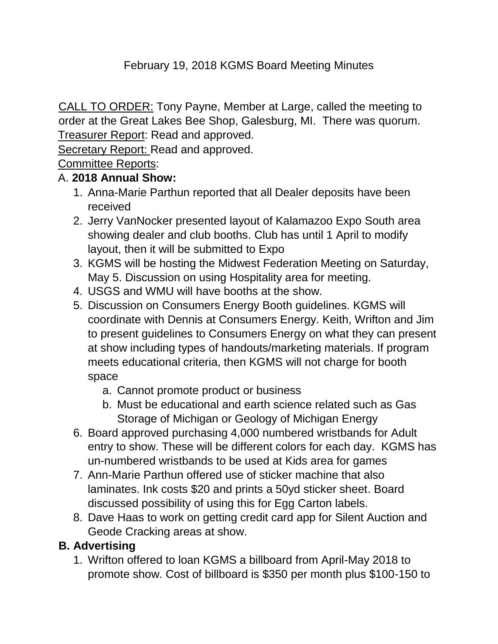### February 19, 2018 KGMS Board Meeting Minutes

CALL TO ORDER: Tony Payne, Member at Large, called the meeting to order at the Great Lakes Bee Shop, Galesburg, MI. There was quorum. Treasurer Report: Read and approved.

Secretary Report: Read and approved.

Committee Reports:

#### A. **2018 Annual Show:**

- 1. Anna-Marie Parthun reported that all Dealer deposits have been received
- 2. Jerry VanNocker presented layout of Kalamazoo Expo South area showing dealer and club booths. Club has until 1 April to modify layout, then it will be submitted to Expo
- 3. KGMS will be hosting the Midwest Federation Meeting on Saturday, May 5. Discussion on using Hospitality area for meeting.
- 4. USGS and WMU will have booths at the show.
- 5. Discussion on Consumers Energy Booth guidelines. KGMS will coordinate with Dennis at Consumers Energy. Keith, Wrifton and Jim to present guidelines to Consumers Energy on what they can present at show including types of handouts/marketing materials. If program meets educational criteria, then KGMS will not charge for booth space
	- a. Cannot promote product or business
	- b. Must be educational and earth science related such as Gas Storage of Michigan or Geology of Michigan Energy
- 6. Board approved purchasing 4,000 numbered wristbands for Adult entry to show. These will be different colors for each day. KGMS has un-numbered wristbands to be used at Kids area for games
- 7. Ann-Marie Parthun offered use of sticker machine that also laminates. Ink costs \$20 and prints a 50yd sticker sheet. Board discussed possibility of using this for Egg Carton labels.
- 8. Dave Haas to work on getting credit card app for Silent Auction and Geode Cracking areas at show.

### **B. Advertising**

1. Wrifton offered to loan KGMS a billboard from April-May 2018 to promote show. Cost of billboard is \$350 per month plus \$100-150 to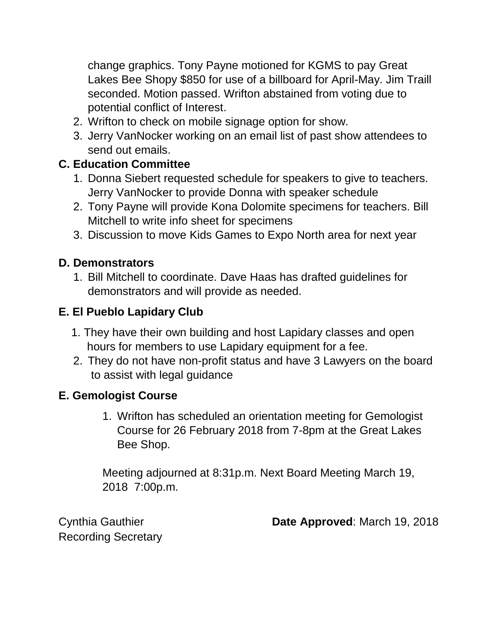change graphics. Tony Payne motioned for KGMS to pay Great Lakes Bee Shopy \$850 for use of a billboard for April-May. Jim Traill seconded. Motion passed. Wrifton abstained from voting due to potential conflict of Interest.

- 2. Wrifton to check on mobile signage option for show.
- 3. Jerry VanNocker working on an email list of past show attendees to send out emails.

# **C. Education Committee**

- 1. Donna Siebert requested schedule for speakers to give to teachers. Jerry VanNocker to provide Donna with speaker schedule
- 2. Tony Payne will provide Kona Dolomite specimens for teachers. Bill Mitchell to write info sheet for specimens
- 3. Discussion to move Kids Games to Expo North area for next year

## **D. Demonstrators**

1. Bill Mitchell to coordinate. Dave Haas has drafted guidelines for demonstrators and will provide as needed.

# **E. El Pueblo Lapidary Club**

- 1. They have their own building and host Lapidary classes and open hours for members to use Lapidary equipment for a fee.
- 2. They do not have non-profit status and have 3 Lawyers on the board to assist with legal guidance

## **E. Gemologist Course**

1. Wrifton has scheduled an orientation meeting for Gemologist Course for 26 February 2018 from 7-8pm at the Great Lakes Bee Shop.

Meeting adjourned at 8:31p.m. Next Board Meeting March 19, 2018 7:00p.m.

Recording Secretary

Cynthia Gauthier **Date Approved**: March 19, 2018